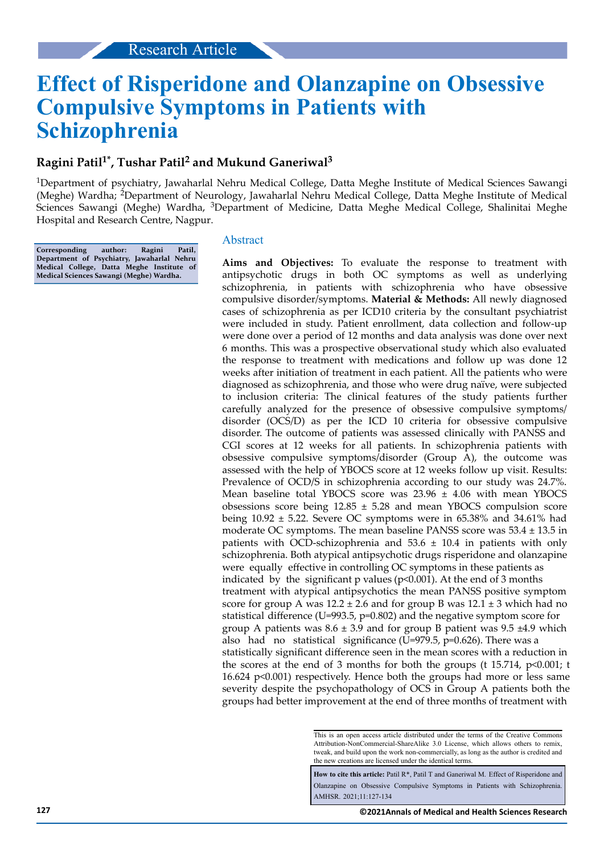# **Effect of Risperidone and Olanzapine on Obsessive Compulsive Symptoms in Patients with Schizophrenia**

# **Ragini Patil1\*, Tushar Patil<sup>2</sup> and Mukund Ganeriwal<sup>3</sup>**

<sup>1</sup>Department of psychiatry, Jawaharlal Nehru Medical College, Datta Meghe Institute of Medical Sciences Sawangi (Meghe) Wardha; <sup>2</sup>Department of Neurology, Jawaharlal Nehru Medical College, Datta Meghe Institute of Medical Sciences Sawangi (Meghe) Wardha, 3Department of Medicine, Datta Meghe Medical College, Shalinitai Meghe Hospital and Research Centre, Nagpur.

**Corresponding author: Ragini Patil, Department of Psychiatry, Jawaharlal Nehru Medical College, Datta Meghe Institute of Medical Sciences Sawangi (Meghe) Wardha.**

## Abstract

**Aims and Objectives:** To evaluate the response to treatment with antipsychotic drugs in both OC symptoms as well as underlying schizophrenia, in patients with schizophrenia who have obsessive compulsive disorder/symptoms. **Material & Methods:** All newly diagnosed cases of schizophrenia as per ICD10 criteria by the consultant psychiatrist were included in study. Patient enrollment, data collection and follow-up were done over a period of 12 months and data analysis was done over next 6 months. This was a prospective observational study which also evaluated the response to treatment with medications and follow up was done 12 weeks after initiation of treatment in each patient. All the patients who were diagnosed as schizophrenia, and those who were drug naïve, were subjected to inclusion criteria: The clinical features of the study patients further carefully analyzed for the presence of obsessive compulsive symptoms/ disorder (OCS/D) as per the ICD 10 criteria for obsessive compulsive disorder. The outcome of patients was assessed clinically with PANSS and CGI scores at 12 weeks for all patients. In schizophrenia patients with obsessive compulsive symptoms/disorder (Group A), the outcome was assessed with the help of YBOCS score at 12 weeks follow up visit. Results: Prevalence of OCD/S in schizophrenia according to our study was 24.7%. Mean baseline total YBOCS score was  $23.96 \pm 4.06$  with mean YBOCS obsessions score being  $12.85 \pm 5.28$  and mean YBOCS compulsion score being 10.92 ± 5.22. Severe OC symptoms were in 65.38% and 34.61% had moderate OC symptoms. The mean baseline PANSS score was 53.4 ± 13.5 in patients with OCD-schizophrenia and  $53.6 \pm 10.4$  in patients with only schizophrenia. Both atypical antipsychotic drugs risperidone and olanzapine were equally effective in controlling OC symptoms in these patients as indicated by the significant p values ( $p<0.001$ ). At the end of 3 months treatment with atypical antipsychotics the mean PANSS positive symptom score for group A was  $12.2 \pm 2.6$  and for group B was  $12.1 \pm 3$  which had no statistical difference (U=993.5,  $p=0.802$ ) and the negative symptom score for group A patients was  $8.6 \pm 3.9$  and for group B patient was  $9.5 \pm 4.9$  which also had no statistical significance (U=979.5, p=0.626). There was a statistically significant difference seen in the mean scores with a reduction in the scores at the end of 3 months for both the groups (t 15.714, p<0.001; t 16.624 p<0.001) respectively. Hence both the groups had more or less same severity despite the psychopathology of OCS in Group A patients both the groups had better improvement at the end of three months of treatment with

How to cite this article: Patil R<sup>\*</sup>, Patil T and Ganeriwal M. Effect of Risperidone and Olanzapine on Obsessive Compulsive Symptoms in Patients with Schizophrenia. AMHSR. 2021;11:127-134

This is an open access article distributed under the terms of the Creative Commons Attribution-NonCommercial-ShareAlike 3.0 License, which allows others to remix, tweak, and build upon the work non‑commercially, as long as the author is credited and the new creations are licensed under the identical terms.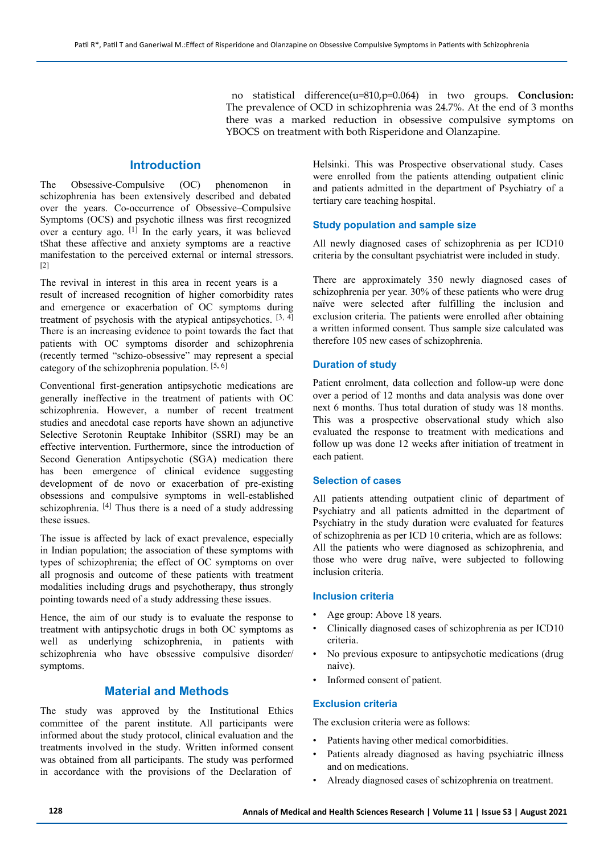no statistical difference(u=810,p=0.064) in two groups. **Conclusion:** The prevalence of OCD in schizophrenia was 24.7%. At the end of 3 months there was a marked reduction in obsessive compulsive symptoms on YBOCS on treatment with both Risperidone and Olanzapine.

# **Introduction**

The Obsessive-Compulsive (OC) phenomenon in schizophrenia has been extensively described and debated over the years. Co-occurrence of Obsessive–Compulsive Symptoms (OCS) and psychotic illness was first recognized over a century ago. [1] In the early years, it was believed tShat these affective and anxiety symptoms are a reactive manifestation to the perceived external or internal stressors.  $[2]$ 

The revival in interest in this area in recent years is a result of increased recognition of higher comorbidity rates and emergence or exacerbation of OC symptoms during treatment of psychosis with the atypical antipsychotics.  $[3, 4]$ There is an increasing evidence to point towards the fact that patients with OC symptoms disorder and schizophrenia (recently termed "schizo-obsessive" may represent a special category of the schizophrenia population. [5, 6]

Conventional first-generation antipsychotic medications are generally ineffective in the treatment of patients with OC schizophrenia. However, a number of recent treatment studies and anecdotal case reports have shown an adjunctive Selective Serotonin Reuptake Inhibitor (SSRI) may be an effective intervention. Furthermore, since the introduction of Second Generation Antipsychotic (SGA) medication there has been emergence of clinical evidence suggesting development of de novo or exacerbation of pre-existing obsessions and compulsive symptoms in well-established schizophrenia. <sup>[4]</sup> Thus there is a need of a study addressing these issues.

The issue is affected by lack of exact prevalence, especially in Indian population; the association of these symptoms with types of schizophrenia; the effect of OC symptoms on over all prognosis and outcome of these patients with treatment modalities including drugs and psychotherapy, thus strongly pointing towards need of a study addressing these issues.

Hence, the aim of our study is to evaluate the response to treatment with antipsychotic drugs in both OC symptoms as well as underlying schizophrenia, in patients with schizophrenia who have obsessive compulsive disorder/ symptoms.

# **Material and Methods**

The study was approved by the Institutional Ethics committee of the parent institute. All participants were informed about the study protocol, clinical evaluation and the treatments involved in the study. Written informed consent was obtained from all participants. The study was performed in accordance with the provisions of the Declaration of

Helsinki. This was Prospective observational study. Cases were enrolled from the patients attending outpatient clinic and patients admitted in the department of Psychiatry of a tertiary care teaching hospital.

#### **Study population and sample size**

All newly diagnosed cases of schizophrenia as per ICD10 criteria by the consultant psychiatrist were included in study.

There are approximately 350 newly diagnosed cases of schizophrenia per year. 30% of these patients who were drug naïve were selected after fulfilling the inclusion and exclusion criteria. The patients were enrolled after obtaining a written informed consent. Thus sample size calculated was therefore 105 new cases of schizophrenia.

## **Duration of study**

Patient enrolment, data collection and follow-up were done over a period of 12 months and data analysis was done over next 6 months. Thus total duration of study was 18 months. This was a prospective observational study which also evaluated the response to treatment with medications and follow up was done 12 weeks after initiation of treatment in each patient.

#### **Selection of cases**

All patients attending outpatient clinic of department of Psychiatry and all patients admitted in the department of Psychiatry in the study duration were evaluated for features of schizophrenia as per ICD 10 criteria, which are as follows: All the patients who were diagnosed as schizophrenia, and those who were drug naïve, were subjected to following inclusion criteria.

## **Inclusion criteria**

- Age group: Above 18 years.
- Clinically diagnosed cases of schizophrenia as per ICD10 criteria.
- No previous exposure to antipsychotic medications (drug naive).
- Informed consent of patient.

### **Exclusion criteria**

The exclusion criteria were as follows:

- Patients having other medical comorbidities.
- Patients already diagnosed as having psychiatric illness and on medications.
- Already diagnosed cases of schizophrenia on treatment.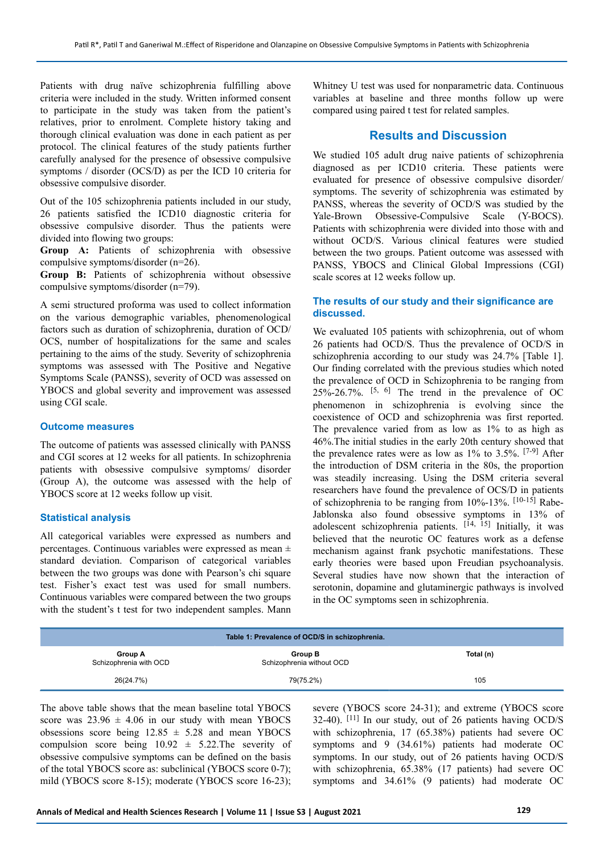Patients with drug naïve schizophrenia fulfilling above criteria were included in the study. Written informed consent to participate in the study was taken from the patient's relatives, prior to enrolment. Complete history taking and thorough clinical evaluation was done in each patient as per protocol. The clinical features of the study patients further carefully analysed for the presence of obsessive compulsive symptoms / disorder (OCS/D) as per the ICD 10 criteria for obsessive compulsive disorder.

Out of the 105 schizophrenia patients included in our study, 26 patients satisfied the ICD10 diagnostic criteria for obsessive compulsive disorder. Thus the patients were divided into flowing two groups:

**Group A:** Patients of schizophrenia with obsessive compulsive symptoms/disorder (n=26).

**Group B:** Patients of schizophrenia without obsessive compulsive symptoms/disorder (n=79).

A semi structured proforma was used to collect information on the various demographic variables, phenomenological factors such as duration of schizophrenia, duration of OCD/ OCS, number of hospitalizations for the same and scales pertaining to the aims of the study. Severity of schizophrenia symptoms was assessed with The Positive and Negative Symptoms Scale (PANSS), severity of OCD was assessed on YBOCS and global severity and improvement was assessed using CGI scale.

## **Outcome measures**

The outcome of patients was assessed clinically with PANSS and CGI scores at 12 weeks for all patients. In schizophrenia patients with obsessive compulsive symptoms/ disorder (Group A), the outcome was assessed with the help of YBOCS score at 12 weeks follow up visit.

### **Statistical analysis**

All categorical variables were expressed as numbers and percentages. Continuous variables were expressed as mean ± standard deviation. Comparison of categorical variables between the two groups was done with Pearson's chi square test. Fisher's exact test was used for small numbers. Continuous variables were compared between the two groups with the student's t test for two independent samples. Mann Whitney U test was used for nonparametric data. Continuous variables at baseline and three months follow up were compared using paired t test for related samples.

# **Results and Discussion**

We studied 105 adult drug naive patients of schizophrenia diagnosed as per ICD10 criteria. These patients were evaluated for presence of obsessive compulsive disorder/ symptoms. The severity of schizophrenia was estimated by PANSS, whereas the severity of OCD/S was studied by the Yale-Brown Obsessive-Compulsive Scale (Y-BOCS). Patients with schizophrenia were divided into those with and without OCD/S. Various clinical features were studied between the two groups. Patient outcome was assessed with PANSS, YBOCS and Clinical Global Impressions (CGI) scale scores at 12 weeks follow up.

## **The results of our study and their significance are discussed.**

We evaluated 105 patients with schizophrenia, out of whom 26 patients had OCD/S. Thus the prevalence of OCD/S in schizophrenia according to our study was 24.7% [Table 1]. Our finding correlated with the previous studies which noted the prevalence of OCD in Schizophrenia to be ranging from  $25\% - 26.7\%$ .  $[5, 6]$  The trend in the prevalence of OC phenomenon in schizophrenia is evolving since the coexistence of OCD and schizophrenia was first reported. The prevalence varied from as low as 1% to as high as 46%.The initial studies in the early 20th century showed that the prevalence rates were as low as 1% to 3.5%. [7-9] After the introduction of DSM criteria in the 80s, the proportion was steadily increasing. Using the DSM criteria several researchers have found the prevalence of OCS/D in patients of schizophrenia to be ranging from 10%-13%. [10-15] Rabe-Jablonska also found obsessive symptoms in 13% of adolescent schizophrenia patients. [14, 15] Initially, it was believed that the neurotic OC features work as a defense mechanism against frank psychotic manifestations. These early theories were based upon Freudian psychoanalysis. Several studies have now shown that the interaction of serotonin, dopamine and glutaminergic pathways is involved in the OC symptoms seen in schizophrenia.

| Table 1: Prevalence of OCD/S in schizophrenia. |                                      |           |  |  |
|------------------------------------------------|--------------------------------------|-----------|--|--|
| Group A<br>Schizophrenia with OCD              | Group B<br>Schizophrenia without OCD | Total (n) |  |  |
| 26(24.7%)                                      | 79(75.2%)                            | 105       |  |  |

The above table shows that the mean baseline total YBOCS score was  $23.96 \pm 4.06$  in our study with mean YBOCS obsessions score being  $12.85 \pm 5.28$  and mean YBOCS compulsion score being  $10.92 \pm 5.22$ . The severity of obsessive compulsive symptoms can be defined on the basis of the total YBOCS score as: subclinical (YBOCS score 0-7); mild (YBOCS score 8-15); moderate (YBOCS score 16-23);

severe (YBOCS score 24-31); and extreme (YBOCS score 32-40). [11] In our study, out of 26 patients having OCD/S with schizophrenia, 17 (65.38%) patients had severe OC symptoms and 9 (34.61%) patients had moderate OC symptoms. In our study, out of 26 patients having OCD/S with schizophrenia, 65.38% (17 patients) had severe OC symptoms and 34.61% (9 patients) had moderate OC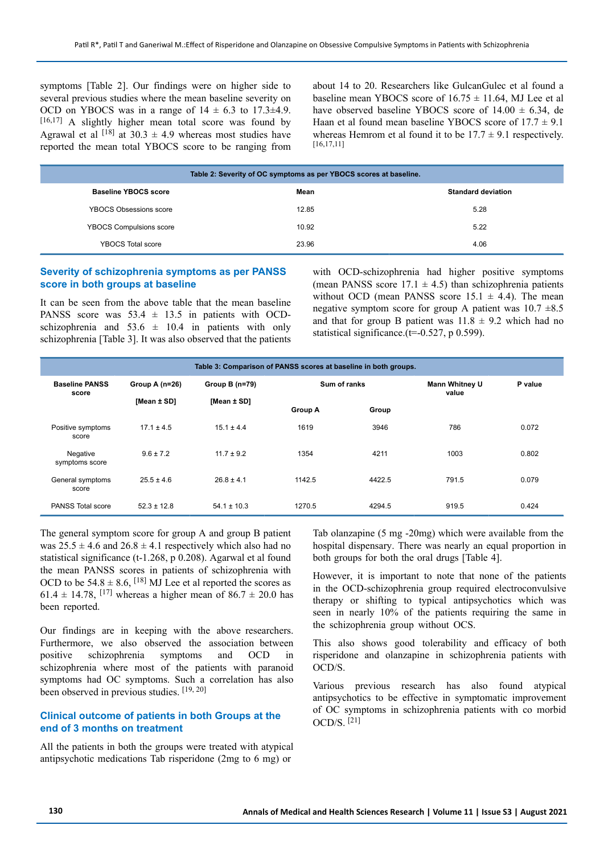symptoms [Table 2]. Our findings were on higher side to several previous studies where the mean baseline severity on OCD on YBOCS was in a range of  $14 \pm 6.3$  to  $17.3\pm 4.9$ .  $[16,17]$  A slightly higher mean total score was found by Agrawal et al  $^{[18]}$  at 30.3  $\pm$  4.9 whereas most studies have reported the mean total YBOCS score to be ranging from about 14 to 20. Researchers like GulcanGulec et al found a baseline mean YBOCS score of  $16.75 \pm 11.64$ . MJ Lee et al have observed baseline YBOCS score of  $14.00 \pm 6.34$ , de Haan et al found mean baseline YBOCS score of  $17.7 \pm 9.1$ whereas Hemrom et al found it to be  $17.7 \pm 9.1$  respectively. [16,17,11]

| Table 2: Severity of OC symptoms as per YBOCS scores at baseline. |       |                           |  |  |
|-------------------------------------------------------------------|-------|---------------------------|--|--|
| <b>Baseline YBOCS score</b>                                       | Mean  | <b>Standard deviation</b> |  |  |
| YBOCS Obsessions score                                            | 12.85 | 5.28                      |  |  |
| <b>YBOCS Compulsions score</b>                                    | 10.92 | 5.22                      |  |  |
| YBOCS Total score                                                 | 23.96 | 4.06                      |  |  |

# **Severity of schizophrenia symptoms as per PANSS score in both groups at baseline**

It can be seen from the above table that the mean baseline PANSS score was  $53.4 \pm 13.5$  in patients with OCDschizophrenia and 53.6  $\pm$  10.4 in patients with only schizophrenia [Table 3]. It was also observed that the patients with OCD-schizophrenia had higher positive symptoms (mean PANSS score  $17.1 \pm 4.5$ ) than schizophrenia patients without OCD (mean PANSS score  $15.1 \pm 4.4$ ). The mean negative symptom score for group A patient was  $10.7 \pm 8.5$ and that for group B patient was  $11.8 \pm 9.2$  which had no statistical significance.(t=-0.527, p 0.599).

| Table 3: Comparison of PANSS scores at baseline in both groups. |                  |                  |                |              |       |         |  |
|-----------------------------------------------------------------|------------------|------------------|----------------|--------------|-------|---------|--|
| <b>Baseline PANSS</b><br>score                                  | Group A $(n=26)$ | Group B $(n=79)$ |                | Sum of ranks |       | P value |  |
|                                                                 | [Mean ± SD]      | [Mean ± SD]      | <b>Group A</b> | Group        | value |         |  |
| Positive symptoms<br>score                                      | $17.1 \pm 4.5$   | $15.1 \pm 4.4$   | 1619           | 3946         | 786   | 0.072   |  |
| Negative<br>symptoms score                                      | $9.6 \pm 7.2$    | $117 + 92$       | 1354           | 4211         | 1003  | 0.802   |  |
| General symptoms<br>score                                       | $25.5 \pm 4.6$   | $26.8 \pm 4.1$   | 1142.5         | 4422.5       | 791.5 | 0.079   |  |
| PANSS Total score                                               | $52.3 \pm 12.8$  | $54.1 \pm 10.3$  | 1270.5         | 4294.5       | 919.5 | 0.424   |  |

The general symptom score for group A and group B patient was  $25.5 \pm 4.6$  and  $26.8 \pm 4.1$  respectively which also had no statistical significance (t-1.268, p 0.208). Agarwal et al found the mean PANSS scores in patients of schizophrenia with OCD to be  $54.8 \pm 8.6$ , <sup>[18]</sup> MJ Lee et al reported the scores as 61.4  $\pm$  14.78, <sup>[17]</sup> whereas a higher mean of 86.7  $\pm$  20.0 has been reported.

Our findings are in keeping with the above researchers. Furthermore, we also observed the association between positive schizophrenia symptoms and OCD in schizophrenia where most of the patients with paranoid symptoms had OC symptoms. Such a correlation has also been observed in previous studies. [19, 20]

# **Clinical outcome of patients in both Groups at the end of 3 months on treatment**

All the patients in both the groups were treated with atypical antipsychotic medications Tab risperidone (2mg to 6 mg) or

Tab olanzapine (5 mg -20mg) which were available from the hospital dispensary. There was nearly an equal proportion in both groups for both the oral drugs [Table 4].

However, it is important to note that none of the patients in the OCD-schizophrenia group required electroconvulsive therapy or shifting to typical antipsychotics which was seen in nearly 10% of the patients requiring the same in the schizophrenia group without OCS.

This also shows good tolerability and efficacy of both risperidone and olanzapine in schizophrenia patients with OCD/S.

Various previous research has also found atypical antipsychotics to be effective in symptomatic improvement of OC symptoms in schizophrenia patients with co morbid  $OCD/S$ <sup>[21]</sup>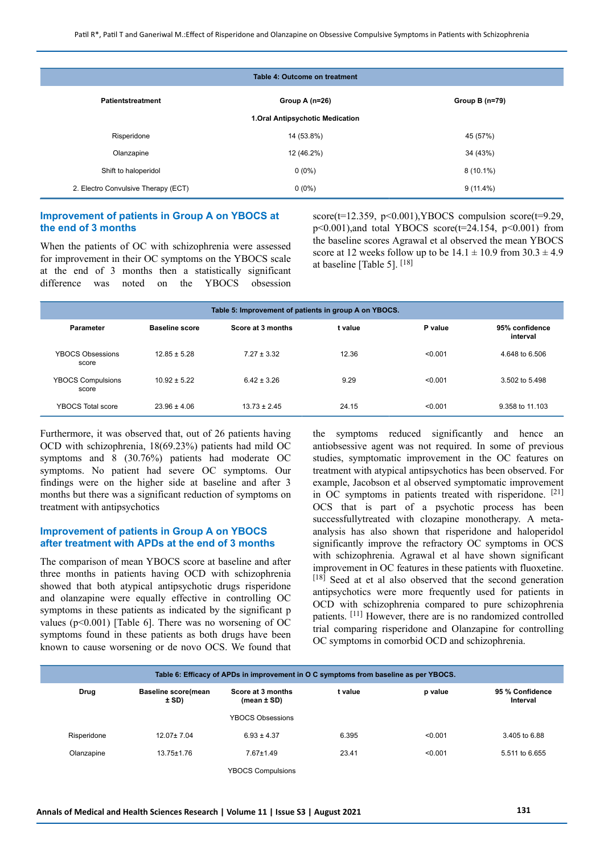|                                     | Table 4: Outcome on treatment    |                  |
|-------------------------------------|----------------------------------|------------------|
| Patientstreatment                   | Group A $(n=26)$                 | Group B $(n=79)$ |
|                                     | 1. Oral Antipsychotic Medication |                  |
| Risperidone                         | 14 (53.8%)                       | 45 (57%)         |
| Olanzapine                          | 12 (46.2%)                       | 34 (43%)         |
| Shift to haloperidol                | $0(0\%)$                         | $8(10.1\%)$      |
| 2. Electro Convulsive Therapy (ECT) | $0(0\%)$                         | $9(11.4\%)$      |

# **Improvement of patients in Group A on YBOCS at the end of 3 months**

When the patients of OC with schizophrenia were assessed for improvement in their OC symptoms on the YBOCS scale at the end of 3 months then a statistically significant difference was noted on the YBOCS obsession score( $t=12.359$ ,  $p<0.001$ ), YBOCS compulsion score( $t=9.29$ ,  $p<0.001$ ),and total YBOCS score( $t=24.154$ ,  $p<0.001$ ) from the baseline scores Agrawal et al observed the mean YBOCS score at 12 weeks follow up to be  $14.1 \pm 10.9$  from  $30.3 \pm 4.9$ at baseline [Table 5]. [18]

| Table 5: Improvement of patients in group A on YBOCS. |                       |                   |         |         |                            |
|-------------------------------------------------------|-----------------------|-------------------|---------|---------|----------------------------|
| Parameter                                             | <b>Baseline score</b> | Score at 3 months | t value | P value | 95% confidence<br>interval |
| YBOCS Obsessions<br>score                             | $1285 + 528$          | $7.27 + 3.32$     | 12.36   | < 0.001 | 4.648 to 6.506             |
| <b>YBOCS Compulsions</b><br>score                     | $10.92 \pm 5.22$      | $6.42 \pm 3.26$   | 9.29    | < 0.001 | 3.502 to 5.498             |
| YBOCS Total score                                     | $23.96 \pm 4.06$      | $13.73 \pm 2.45$  | 24.15   | < 0.001 | 9.358 to 11.103            |

Furthermore, it was observed that, out of 26 patients having OCD with schizophrenia, 18(69.23%) patients had mild OC symptoms and 8 (30.76%) patients had moderate OC symptoms. No patient had severe OC symptoms. Our findings were on the higher side at baseline and after 3 months but there was a significant reduction of symptoms on treatment with antipsychotics

# **Improvement of patients in Group A on YBOCS after treatment with APDs at the end of 3 months**

The comparison of mean YBOCS score at baseline and after three months in patients having OCD with schizophrenia showed that both atypical antipsychotic drugs risperidone and olanzapine were equally effective in controlling OC symptoms in these patients as indicated by the significant p values ( $p$ <0.001) [Table 6]. There was no worsening of OC symptoms found in these patients as both drugs have been known to cause worsening or de novo OCS. We found that the symptoms reduced significantly and hence an antiobsessive agent was not required. In some of previous studies, symptomatic improvement in the OC features on treatment with atypical antipsychotics has been observed. For example, Jacobson et al observed symptomatic improvement in OC symptoms in patients treated with risperidone. [21] OCS that is part of a psychotic process has been successfullytreated with clozapine monotherapy. A metaanalysis has also shown that risperidone and haloperidol significantly improve the refractory OC symptoms in OCS with schizophrenia. Agrawal et al have shown significant improvement in OC features in these patients with fluoxetine. [18] Seed at et al also observed that the second generation antipsychotics were more frequently used for patients in OCD with schizophrenia compared to pure schizophrenia patients. [11] However, there are is no randomized controlled trial comparing risperidone and Olanzapine for controlling OC symptoms in comorbid OCD and schizophrenia.

|             | Table 6: Efficacy of APDs in improvement in O C symptoms from baseline as per YBOCS. |                                      |         |         |                             |  |  |
|-------------|--------------------------------------------------------------------------------------|--------------------------------------|---------|---------|-----------------------------|--|--|
| Drug        | <b>Baseline score(mean</b><br>± SD)                                                  | Score at 3 months<br>(mean $\pm$ SD) | t value | p value | 95 % Confidence<br>Interval |  |  |
|             |                                                                                      | <b>YBOCS Obsessions</b>              |         |         |                             |  |  |
| Risperidone | $12.07 \pm 7.04$                                                                     | $6.93 \pm 4.37$                      | 6.395   | < 0.001 | 3.405 to 6.88               |  |  |
| Olanzapine  | $13.75 \pm 1.76$                                                                     | $7.67 \pm 1.49$                      | 23.41   | < 0.001 | 5.511 to 6.655              |  |  |
|             |                                                                                      | <b>YBOCS Compulsions</b>             |         |         |                             |  |  |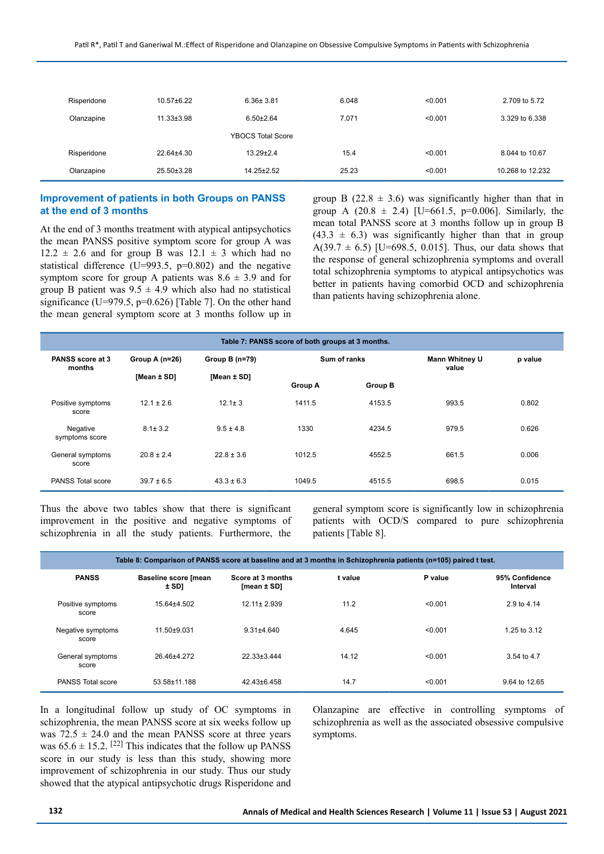| Risperidone | $10.57 \pm 6.22$ | $6.36 \pm 3.81$          | 6.048 | < 0.001 | 2.709 to 5.72    |
|-------------|------------------|--------------------------|-------|---------|------------------|
| Olanzapine  | $11.33 \pm 3.98$ | $6.50 \pm 2.64$          | 7.071 | < 0.001 | 3.329 to 6.338   |
|             |                  | <b>YBOCS Total Score</b> |       |         |                  |
| Risperidone | 22.64±4.30       | $13.29 \pm 2.4$          | 15.4  | < 0.001 | 8.044 to 10.67   |
| Olanzapine  | 25.50±3.28       | $14.25 \pm 2.52$         | 25.23 | < 0.001 | 10.268 to 12.232 |

# **Improvement of patients in both Groups on PANSS at the end of 3 months**

At the end of 3 months treatment with atypical antipsychotics the mean PANSS positive symptom score for group A was  $12.2 \pm 2.6$  and for group B was  $12.1 \pm 3$  which had no statistical difference (U=993.5,  $p=0.802$ ) and the negative symptom score for group A patients was  $8.6 \pm 3.9$  and for group B patient was  $9.5 \pm 4.9$  which also had no statistical significance (U=979.5, p=0.626) [Table 7]. On the other hand the mean general symptom score at 3 months follow up in group B (22.8  $\pm$  3.6) was significantly higher than that in group A (20.8  $\pm$  2.4) [U=661.5, p=0.006]. Similarly, the mean total PANSS score at 3 months follow up in group B  $(43.3 \pm 6.3)$  was significantly higher than that in group A(39.7  $\pm$  6.5) [U=698.5, 0.015]. Thus, our data shows that the response of general schizophrenia symptoms and overall total schizophrenia symptoms to atypical antipsychotics was better in patients having comorbid OCD and schizophrenia than patients having schizophrenia alone.

| Table 7: PANSS score of both groups at 3 months. |                  |                |                |                |                                |         |  |
|--------------------------------------------------|------------------|----------------|----------------|----------------|--------------------------------|---------|--|
| PANSS score at 3<br>months                       | Group A $(n=26)$ | Group B (n=79) | Sum of ranks   |                | <b>Mann Whitney U</b><br>value | p value |  |
|                                                  | [Mean ± SD]      | [Mean ± SD]    | <b>Group A</b> | <b>Group B</b> |                                |         |  |
| Positive symptoms<br>score                       | $12.1 \pm 2.6$   | $12.1 \pm 3$   | 1411.5         | 4153.5         | 993.5                          | 0.802   |  |
| Negative<br>symptoms score                       | $8.1 \pm 3.2$    | $9.5 \pm 4.8$  | 1330           | 4234.5         | 979.5                          | 0.626   |  |
| General symptoms<br>score                        | $20.8 \pm 2.4$   | $22.8 \pm 3.6$ | 1012.5         | 4552.5         | 661.5                          | 0.006   |  |
| PANSS Total score                                | $39.7 \pm 6.5$   | $43.3 \pm 6.3$ | 1049.5         | 4515.5         | 698.5                          | 0.015   |  |

Thus the above two tables show that there is significant improvement in the positive and negative symptoms of schizophrenia in all the study patients. Furthermore, the

general symptom score is significantly low in schizophrenia patients with OCD/S compared to pure schizophrenia patients [Table 8].

| Table 8: Comparison of PANSS score at baseline and at 3 months in Schizophrenia patients (n=105) paired t test. |                                        |                                      |         |         |                            |
|-----------------------------------------------------------------------------------------------------------------|----------------------------------------|--------------------------------------|---------|---------|----------------------------|
| <b>PANSS</b>                                                                                                    | <b>Baseline score [mean</b><br>$±$ SD1 | Score at 3 months<br>$[mean \pm SD]$ | t value | P value | 95% Confidence<br>Interval |
| Positive symptoms<br>score                                                                                      | 15.64±4.502                            | $12.11 \pm 2.939$                    | 11.2    | < 0.001 | 2.9 to 4.14                |
| Negative symptoms<br>score                                                                                      | $11.50 + 9.031$                        | $9.31 \pm 4.640$                     | 4.645   | < 0.001 | 1.25 to 3.12               |
| General symptoms<br>score                                                                                       | 26.46±4.272                            | $22.33 \pm 3.444$                    | 14.12   | < 0.001 | 3.54 to 4.7                |
| PANSS Total score                                                                                               | 53.58±11.188                           | $42.43 \pm 6.458$                    | 14.7    | < 0.001 | 9.64 to 12.65              |

In a longitudinal follow up study of OC symptoms in schizophrenia, the mean PANSS score at six weeks follow up was  $72.5 \pm 24.0$  and the mean PANSS score at three years was  $65.6 \pm 15.2$ . <sup>[22]</sup> This indicates that the follow up PANSS score in our study is less than this study, showing more improvement of schizophrenia in our study. Thus our study showed that the atypical antipsychotic drugs Risperidone and Olanzapine are effective in controlling symptoms of schizophrenia as well as the associated obsessive compulsive symptoms.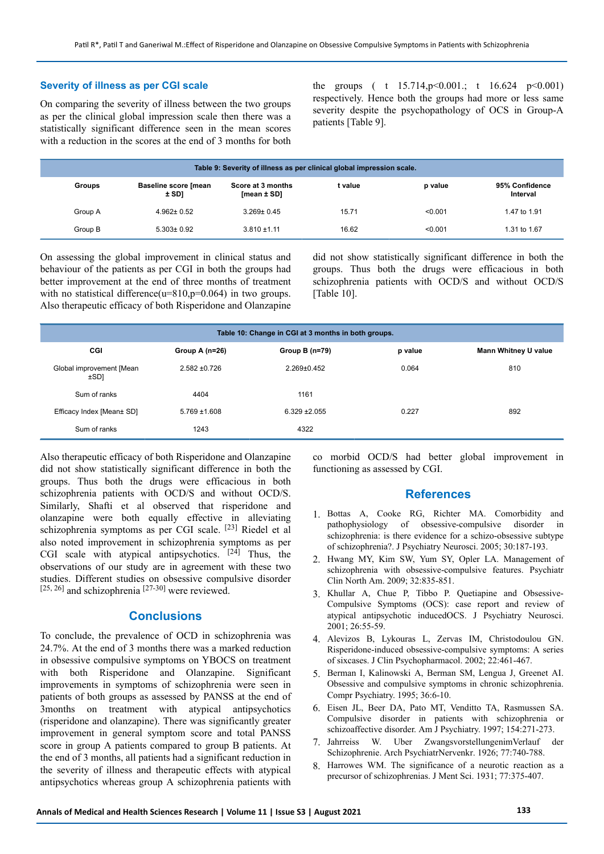## **Severity of illness as per CGI scale**

On comparing the severity of illness between the two groups as per the clinical global impression scale then there was a statistically significant difference seen in the mean scores with a reduction in the scores at the end of 3 months for both the groups ( t  $15.714$ ,  $p \le 0.001$ .; t  $16.624$   $p \le 0.001$ ) respectively. Hence both the groups had more or less same severity despite the psychopathology of OCS in Group-A patients [Table 9].

| Table 9: Severity of illness as per clinical global impression scale. |                                 |                                  |         |         |                            |
|-----------------------------------------------------------------------|---------------------------------|----------------------------------|---------|---------|----------------------------|
| <b>Groups</b>                                                         | Baseline score [mean<br>$±$ SD] | Score at 3 months<br>[mean ± SD] | t value | p value | 95% Confidence<br>Interval |
| Group A                                                               | $4.962 \pm 0.52$                | $3.269 \pm 0.45$                 | 15.71   | < 0.001 | 1.47 to 1.91               |
| Group B                                                               | $5.303 \pm 0.92$                | $3.810 \pm 1.11$                 | 16.62   | < 0.001 | 1.31 to 1.67               |

On assessing the global improvement in clinical status and behaviour of the patients as per CGI in both the groups had better improvement at the end of three months of treatment with no statistical difference( $u=810$ , $p=0.064$ ) in two groups. Also therapeutic efficacy of both Risperidone and Olanzapine did not show statistically significant difference in both the groups. Thus both the drugs were efficacious in both schizophrenia patients with OCD/S and without OCD/S [Table 10].

| Table 10: Change in CGI at 3 months in both groups. |                   |                   |         |                             |  |  |
|-----------------------------------------------------|-------------------|-------------------|---------|-----------------------------|--|--|
| CGI                                                 | Group A $(n=26)$  | Group B $(n=79)$  | p value | <b>Mann Whitney U value</b> |  |  |
| Global improvement [Mean<br>±SD1                    | $2.582 \pm 0.726$ | $2.269 \pm 0.452$ | 0.064   | 810                         |  |  |
| Sum of ranks                                        | 4404              | 1161              |         |                             |  |  |
| Efficacy Index [Mean± SD]                           | $5.769 \pm 1.608$ | $6.329 + 2.055$   | 0.227   | 892                         |  |  |
| Sum of ranks                                        | 1243              | 4322              |         |                             |  |  |

Also therapeutic efficacy of both Risperidone and Olanzapine did not show statistically significant difference in both the groups. Thus both the drugs were efficacious in both schizophrenia patients with OCD/S and without OCD/S. Similarly, Shafti et al observed that risperidone and olanzapine were both equally effective in alleviating schizophrenia symptoms as per CGI scale.  $[23]$  Riedel et al also noted improvement in schizophrenia symptoms as per CGI scale with atypical antipsychotics.  $[24]$  Thus, the observations of our study are in agreement with these two studies. Different studies on obsessive compulsive disorder  $[25, 26]$  and schizophrenia  $[27-30]$  were reviewed.

# **Conclusions**

To conclude, the prevalence of OCD in schizophrenia was 24.7%. At the end of 3 months there was a marked reduction in obsessive compulsive symptoms on YBOCS on treatment with both Risperidone and Olanzapine. Significant improvements in symptoms of schizophrenia were seen in patients of both groups as assessed by PANSS at the end of 3months on treatment with atypical antipsychotics (risperidone and olanzapine). There was significantly greater improvement in general symptom score and total PANSS score in group A patients compared to group B patients. At the end of 3 months, all patients had a significant reduction in the severity of illness and therapeutic effects with atypical antipsychotics whereas group A schizophrenia patients with

co morbid OCD/S had better global improvement in functioning as assessed by CGI.

## **References**

- 1. Bottas A, Cooke RG, Richter MA. Comorbidity and pathophysiology of obsessive-compulsive disorder in schizophrenia: is there evidence for a schizo-obsessive subtype of schizophrenia?. J Psychiatry Neurosci. 2005; 30:187-193.
- 2. Hwang MY, Kim SW, Yum SY, Opler LA. Management of schizophrenia with obsessive-compulsive features. Psychiatr Clin North Am. 2009; 32:835-851.
- 3. Khullar A, Chue P, Tibbo P. Quetiapine and Obsessive-Compulsive Symptoms (OCS): case report and review of atypical antipsychotic inducedOCS. J Psychiatry Neurosci. 2001; 26:55-59.
- 4. Alevizos B, Lykouras L, Zervas IM, Christodoulou GN. Risperidone-induced obsessive-compulsive symptoms: A series of sixcases. J Clin Psychopharmacol. 2002; 22:461-467.
- 5. Berman I, Kalinowski A, Berman SM, Lengua J, Greenet AI. Obsessive and compulsive symptoms in chronic schizophrenia. Compr Psychiatry. 1995; 36:6-10.
- 6. Eisen JL, Beer DA, Pato MT, Venditto TA, Rasmussen SA. Compulsive disorder in patients with schizophrenia or schizoaffective disorder. Am J Psychiatry. 1997; 154:271-273.
- 7. Jahrreiss W. Uber ZwangsvorstellungenimVerlauf der Schizophrenie. Arch PsychiatrNervenkr. 1926; 77:740-788.
- 8. Harrowes WM. The significance of a neurotic reaction as a precursor of schizophrenias. J Ment Sci. 1931; 77:375-407.